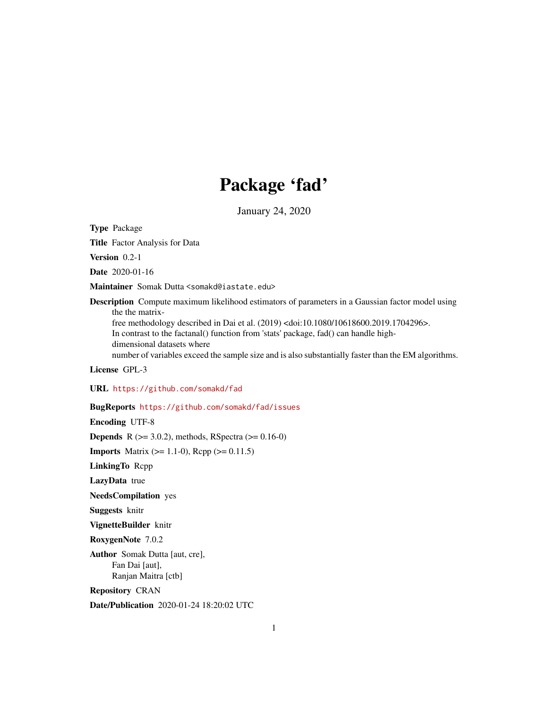## Package 'fad'

January 24, 2020

<span id="page-0-0"></span>Type Package

Title Factor Analysis for Data

Version 0.2-1

Date 2020-01-16

Maintainer Somak Dutta <somakd@iastate.edu>

Description Compute maximum likelihood estimators of parameters in a Gaussian factor model using the the matrix-

free methodology described in Dai et al. (2019) <doi:10.1080/10618600.2019.1704296>. In contrast to the factanal() function from 'stats' package, fad() can handle highdimensional datasets where

number of variables exceed the sample size and is also substantially faster than the EM algorithms.

License GPL-3

URL <https://github.com/somakd/fad>

#### BugReports <https://github.com/somakd/fad/issues>

Encoding UTF-8

**Depends** R ( $>= 3.0.2$ ), methods, RSpectra ( $>= 0.16-0$ )

**Imports** Matrix  $(>= 1.1-0)$ , Rcpp  $(>= 0.11.5)$ 

LinkingTo Rcpp

LazyData true

NeedsCompilation yes

Suggests knitr

VignetteBuilder knitr

RoxygenNote 7.0.2

Author Somak Dutta [aut, cre], Fan Dai [aut], Ranjan Maitra [ctb]

Repository CRAN

Date/Publication 2020-01-24 18:20:02 UTC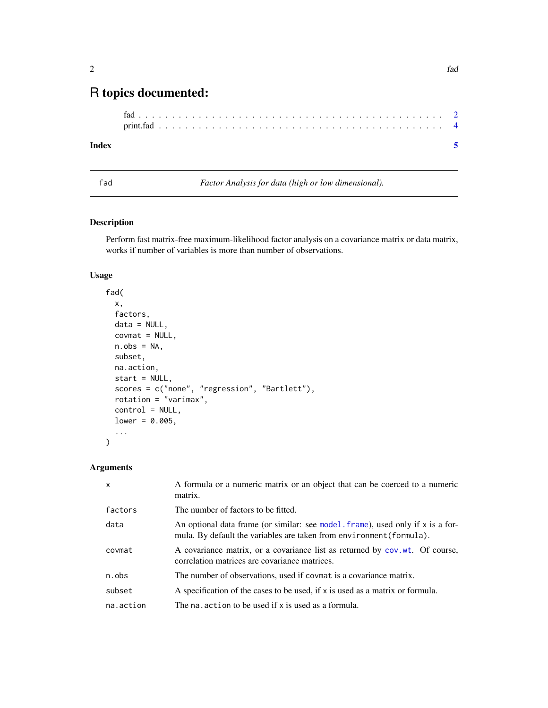### <span id="page-1-0"></span>R topics documented:

#### **Index** [5](#page-4-0)

fad *Factor Analysis for data (high or low dimensional).*

#### Description

Perform fast matrix-free maximum-likelihood factor analysis on a covariance matrix or data matrix, works if number of variables is more than number of observations.

#### Usage

```
fad(
  x,
  factors,
 data = NULL,
  covmat = NULL,n.obs = NA,
 subset,
 na.action,
  start = NULL,
  scores = c("none", "regression", "Bartlett"),
 rotation = "varimax",
  control = NULL,
 lower = 0.005,...
)
```
#### Arguments

| $\mathsf{x}$ | A formula or a numeric matrix or an object that can be coerced to a numeric<br>matrix.                                                                    |
|--------------|-----------------------------------------------------------------------------------------------------------------------------------------------------------|
| factors      | The number of factors to be fitted.                                                                                                                       |
| data         | An optional data frame (or similar: see model, frame), used only if $x$ is a for-<br>mula. By default the variables are taken from environment (formula). |
| covmat       | A covariance matrix, or a covariance list as returned by cov.wt. Of course,<br>correlation matrices are covariance matrices.                              |
| n.obs        | The number of observations, used if covmat is a covariance matrix.                                                                                        |
| subset       | A specification of the cases to be used, if x is used as a matrix or formula.                                                                             |
| na.action    | The naturation to be used if x is used as a formula.                                                                                                      |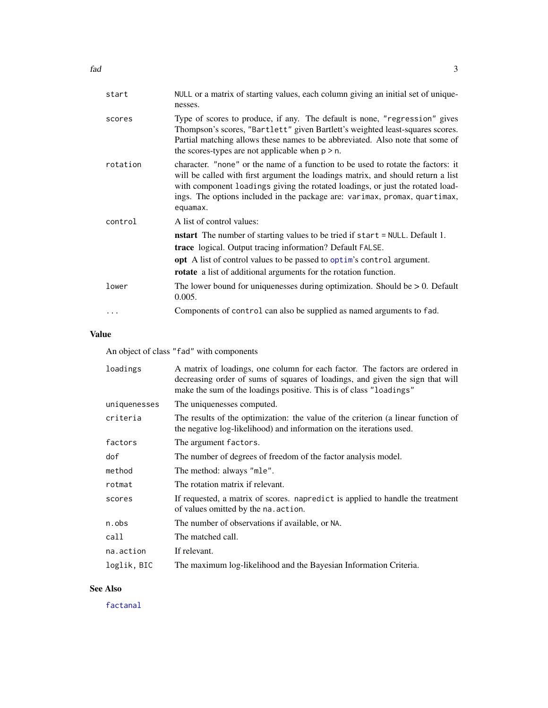<span id="page-2-0"></span>

| start    | NULL or a matrix of starting values, each column giving an initial set of unique-<br>nesses.                                                                                                                                                                                                                                                     |
|----------|--------------------------------------------------------------------------------------------------------------------------------------------------------------------------------------------------------------------------------------------------------------------------------------------------------------------------------------------------|
| scores   | Type of scores to produce, if any. The default is none, "regression" gives<br>Thompson's scores, "Bartlett" given Bartlett's weighted least-squares scores.<br>Partial matching allows these names to be abbreviated. Also note that some of<br>the scores-types are not applicable when $p > n$ .                                               |
| rotation | character. "none" or the name of a function to be used to rotate the factors: it<br>will be called with first argument the loadings matrix, and should return a list<br>with component loadings giving the rotated loadings, or just the rotated load-<br>ings. The options included in the package are: varimax, promax, quartimax,<br>equamax. |
| control  | A list of control values:<br><b>nstart</b> The number of starting values to be tried if start = NULL. Default 1.<br><b>trace</b> logical. Output tracing information? Default FALSE.<br><b>opt</b> A list of control values to be passed to optim's control argument.<br><b>rotate</b> a list of additional arguments for the rotation function. |
| lower    | The lower bound for uniquenesses during optimization. Should be $> 0$ . Default<br>0.005.                                                                                                                                                                                                                                                        |
|          | Components of control can also be supplied as named arguments to fad.                                                                                                                                                                                                                                                                            |
|          |                                                                                                                                                                                                                                                                                                                                                  |

#### Value

An object of class "fad" with components

| A matrix of loadings, one column for each factor. The factors are ordered in<br>decreasing order of sums of squares of loadings, and given the sign that will<br>make the sum of the loadings positive. This is of class "loadings" |
|-------------------------------------------------------------------------------------------------------------------------------------------------------------------------------------------------------------------------------------|
| The uniquenesses computed.                                                                                                                                                                                                          |
| The results of the optimization: the value of the criterion (a linear function of<br>the negative log-likelihood) and information on the iterations used.                                                                           |
| The argument factors.                                                                                                                                                                                                               |
| The number of degrees of freedom of the factor analysis model.                                                                                                                                                                      |
| The method: always "mle".                                                                                                                                                                                                           |
| The rotation matrix if relevant.                                                                                                                                                                                                    |
| If requested, a matrix of scores. napredict is applied to handle the treatment<br>of values omitted by the na. action.                                                                                                              |
| The number of observations if available, or NA.                                                                                                                                                                                     |
| The matched call.                                                                                                                                                                                                                   |
| If relevant.                                                                                                                                                                                                                        |
| The maximum log-likelihood and the Bayesian Information Criteria.                                                                                                                                                                   |
|                                                                                                                                                                                                                                     |

#### See Also

[factanal](#page-0-0)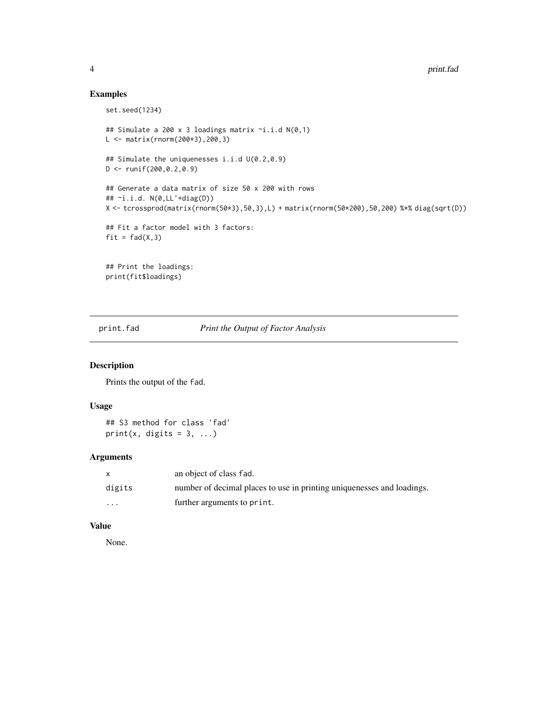#### Examples

```
set.seed(1234)
## Simulate a 200 x 3 loadings matrix ~i.i.d N(0,1)
L <- matrix(rnorm(200*3),200,3)
## Simulate the uniquenesses i.i.d U(0.2,0.9)
D <- runif(200,0.2,0.9)
## Generate a data matrix of size 50 x 200 with rows
## ~i.i.d. N(0,LL'+diag(D))
X <- tcrossprod(matrix(rnorm(50*3),50,3),L) + matrix(rnorm(50*200),50,200) %*% diag(sqrt(D))
## Fit a factor model with 3 factors:
fit = fad(X,3)## Print the loadings:
print(fit$loadings)
```
print.fad *Print the Output of Factor Analysis*

#### Description

Prints the output of the fad.

#### Usage

## S3 method for class 'fad' print(x, digits =  $3, ...$ )

#### Arguments

|                      | an object of class fad.                                                |
|----------------------|------------------------------------------------------------------------|
| digits               | number of decimal places to use in printing uniquenesses and loadings. |
| $\ddot{\phantom{0}}$ | further arguments to print.                                            |

#### Value

None.

<span id="page-3-0"></span>